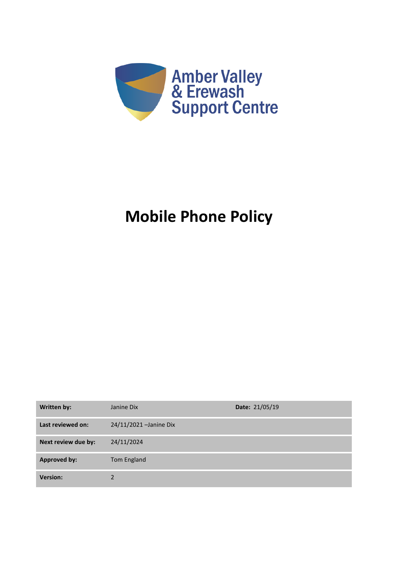

# **Mobile Phone Policy**

| <b>Written by:</b>  | Janine Dix              | Date: 21/05/19 |
|---------------------|-------------------------|----------------|
| Last reviewed on:   | 24/11/2021 - Janine Dix |                |
| Next review due by: | 24/11/2024              |                |
| <b>Approved by:</b> | Tom England             |                |
| <b>Version:</b>     |                         |                |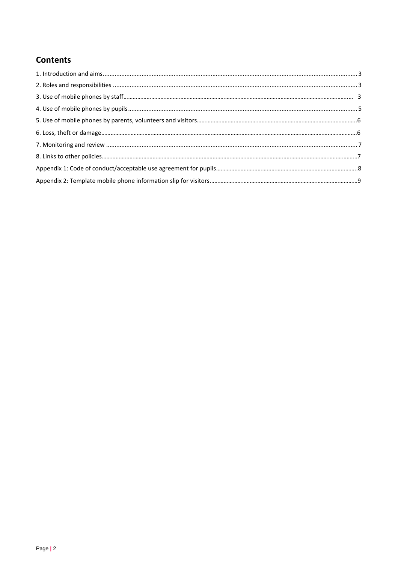# **Contents**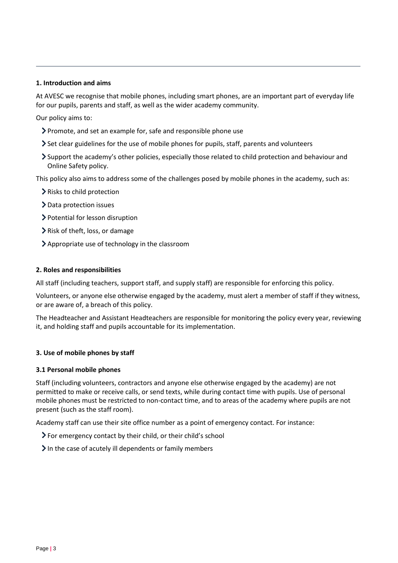#### <span id="page-2-0"></span>**1. Introduction and aims**

At AVESC we recognise that mobile phones, including smart phones, are an important part of everyday life for our pupils, parents and staff, as well as the wider academy community.

Our policy aims to:

- Promote, and set an example for, safe and responsible phone use
- Set clear guidelines for the use of mobile phones for pupils, staff, parents and volunteers
- Support the academy's other policies, especially those related to child protection and behaviour and Online Safety policy.

This policy also aims to address some of the challenges posed by mobile phones in the academy, such as:

- **Exercise Finding > Risks to child protection**
- > Data protection issues
- Potential for lesson disruption
- Risk of theft, loss, or damage
- Appropriate use of technology in the classroom

#### <span id="page-2-1"></span>**2. Roles and responsibilities**

All staff (including teachers, support staff, and supply staff) are responsible for enforcing this policy.

Volunteers, or anyone else otherwise engaged by the academy, must alert a member of staff if they witness, or are aware of, a breach of this policy.

The Headteacher and Assistant Headteachers are responsible for monitoring the policy every year, reviewing it, and holding staff and pupils accountable for its implementation.

#### **3. Use of mobile phones by staff**

#### **3.1 Personal mobile phones**

Staff (including volunteers, contractors and anyone else otherwise engaged by the academy) are not permitted to make or receive calls, or send texts, while during contact time with pupils. Use of personal mobile phones must be restricted to non-contact time, and to areas of the academy where pupils are not present (such as the staff room).

Academy staff can use their site office number as a point of emergency contact. For instance:

- For emergency contact by their child, or their child's school
- $\sum$  In the case of acutely ill dependents or family members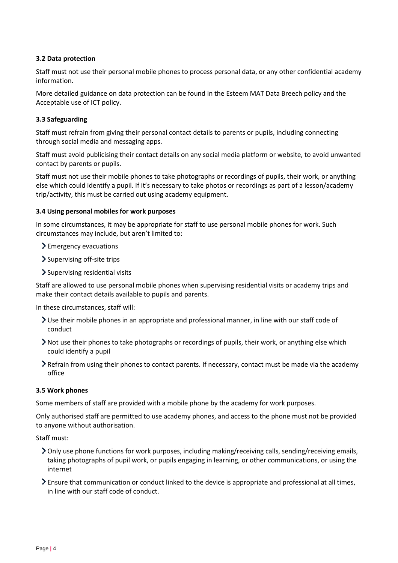# **3.2 Data protection**

Staff must not use their personal mobile phones to process personal data, or any other confidential academy information.

More detailed guidance on data protection can be found in the Esteem MAT Data Breech policy and the Acceptable use of ICT policy.

# **3.3 Safeguarding**

Staff must refrain from giving their personal contact details to parents or pupils, including connecting through social media and messaging apps.

Staff must avoid publicising their contact details on any social media platform or website, to avoid unwanted contact by parents or pupils.

Staff must not use their mobile phones to take photographs or recordings of pupils, their work, or anything else which could identify a pupil. If it's necessary to take photos or recordings as part of a lesson/academy trip/activity, this must be carried out using academy equipment.

#### **3.4 Using personal mobiles for work purposes**

In some circumstances, it may be appropriate for staff to use personal mobile phones for work. Such circumstances may include, but aren't limited to:

- Emergency evacuations
- Supervising off-site trips
- Supervising residential visits

Staff are allowed to use personal mobile phones when supervising residential visits or academy trips and make their contact details available to pupils and parents.

In these circumstances, staff will:

- Use their mobile phones in an appropriate and professional manner, in line with our staff code of conduct
- Not use their phones to take photographs or recordings of pupils, their work, or anything else which could identify a pupil
- Refrain from using their phones to contact parents. If necessary, contact must be made via the academy office

#### **3.5 Work phones**

Some members of staff are provided with a mobile phone by the academy for work purposes.

Only authorised staff are permitted to use academy phones, and access to the phone must not be provided to anyone without authorisation.

#### Staff must:

- Only use phone functions for work purposes, including making/receiving calls, sending/receiving emails, taking photographs of pupil work, or pupils engaging in learning, or other communications, or using the internet
- Ensure that communication or conduct linked to the device is appropriate and professional at all times, in line with our staff code of conduct.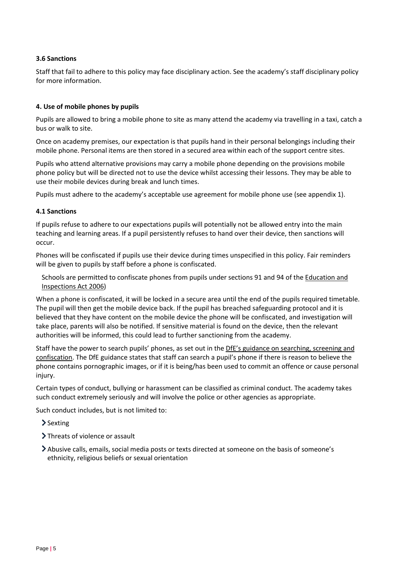# **3.6 Sanctions**

Staff that fail to adhere to this policy may face disciplinary action. See the academy's staff disciplinary policy for more information.

#### <span id="page-4-0"></span>**4. Use of mobile phones by pupils**

Pupils are allowed to bring a mobile phone to site as many attend the academy via travelling in a taxi, catch a bus or walk to site.

Once on academy premises, our expectation is that pupils hand in their personal belongings including their mobile phone. Personal items are then stored in a secured area within each of the support centre sites.

Pupils who attend alternative provisions may carry a mobile phone depending on the provisions mobile phone policy but will be directed not to use the device whilst accessing their lessons. They may be able to use their mobile devices during break and lunch times.

Pupils must adhere to the academy's acceptable use agreement for mobile phone use (see appendix 1).

#### **4.1 Sanctions**

If pupils refuse to adhere to our expectations pupils will potentially not be allowed entry into the main teaching and learning areas. If a pupil persistently refuses to hand over their device, then sanctions will occur.

Phones will be confiscated if pupils use their device during times unspecified in this policy. Fair reminders will be given to pupils by staff before a phone is confiscated.

Schools are permitted to confiscate phones from pupils under sections 91 and 94 of the Education and [Inspections Act 2006\)](https://www.legislation.gov.uk/ukpga/2006/40/section/94)

When a phone is confiscated, it will be locked in a secure area until the end of the pupils required timetable. The pupil will then get the mobile device back. If the pupil has breached safeguarding protocol and it is believed that they have content on the mobile device the phone will be confiscated, and investigation will take place, parents will also be notified. If sensitive material is found on the device, then the relevant authorities will be informed, this could lead to further sanctioning from the academy.

Staff have the power to search pupils' phones, as set out in the DfE's guidanc[e on searching, screening and](https://www.gov.uk/government/publications/searching-screening-and-confiscation)  [confiscation.](https://www.gov.uk/government/publications/searching-screening-and-confiscation) The DfE guidance states that staff can search a pupil's phone if there is reason to believe the phone contains pornographic images, or if it is being/has been used to commit an offence or cause personal injury.

Certain types of conduct, bullying or harassment can be classified as criminal conduct. The academy takes such conduct extremely seriously and will involve the police or other agencies as appropriate.

Such conduct includes, but is not limited to:

- > Sexting
- > Threats of violence or assault
- Abusive calls, emails, social media posts or texts directed at someone on the basis of someone's ethnicity, religious beliefs or sexual orientation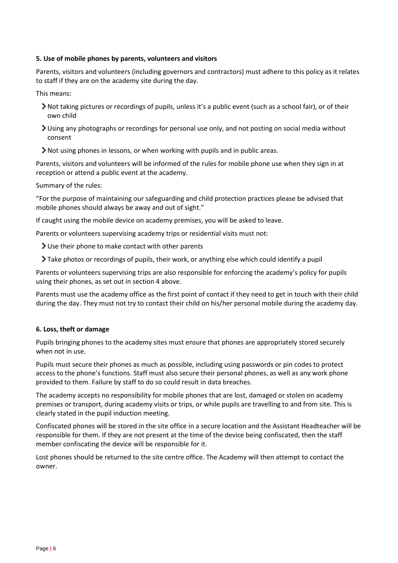## **5. Use of mobile phones by parents, volunteers and visitors**

Parents, visitors and volunteers (including governors and contractors) must adhere to this policy as it relates to staff if they are on the academy site during the day.

This means:

- Not taking pictures or recordings of pupils, unless it's a public event (such as a school fair), or of their own child
- Using any photographs or recordings for personal use only, and not posting on social media without consent
- Not using phones in lessons, or when working with pupils and in public areas.

Parents, visitors and volunteers will be informed of the rules for mobile phone use when they sign in at reception or attend a public event at the academy.

Summary of the rules:

"For the purpose of maintaining our safeguarding and child protection practices please be advised that mobile phones should always be away and out of sight."

If caught using the mobile device on academy premises, you will be asked to leave.

Parents or volunteers supervising academy trips or residential visits must not:

- Use their phone to make contact with other parents
- Take photos or recordings of pupils, their work, or anything else which could identify a pupil

Parents or volunteers supervising trips are also responsible for enforcing the academy's policy for pupils using their phones, as set out in section 4 above.

Parents must use the academy office as the first point of contact if they need to get in touch with their child during the day. They must not try to contact their child on his/her personal mobile during the academy day.

#### **6. Loss, theft or damage**

Pupils bringing phones to the academy sites must ensure that phones are appropriately stored securely when not in use.

Pupils must secure their phones as much as possible, including using passwords or pin codes to protect access to the phone's functions. Staff must also secure their personal phones, as well as any work phone provided to them. Failure by staff to do so could result in data breaches.

The academy accepts no responsibility for mobile phones that are lost, damaged or stolen on academy premises or transport, during academy visits or trips, or while pupils are travelling to and from site. This is clearly stated in the pupil induction meeting.

Confiscated phones will be stored in the site office in a secure location and the Assistant Headteacher will be responsible for them. If they are not present at the time of the device being confiscated, then the staff member confiscating the device will be responsible for it.

Lost phones should be returned to the site centre office. The Academy will then attempt to contact the owner.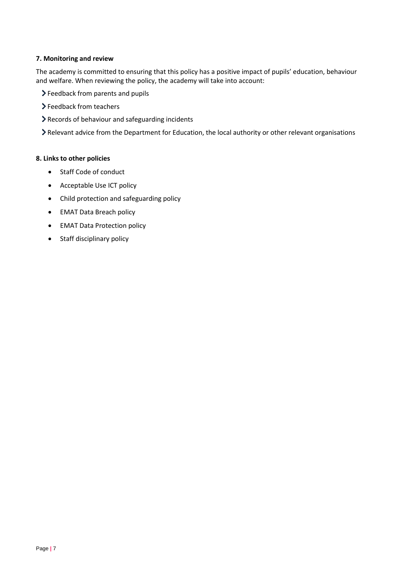# <span id="page-6-0"></span>**7. Monitoring and review**

The academy is committed to ensuring that this policy has a positive impact of pupils' education, behaviour and welfare. When reviewing the policy, the academy will take into account:

- Feedback from parents and pupils
- Feedback from teachers
- Records of behaviour and safeguarding incidents

Relevant advice from the Department for Education, the local authority or other relevant organisations

# **8. Links to other policies**

- Staff Code of conduct
- Acceptable Use ICT policy
- Child protection and safeguarding policy
- EMAT Data Breach policy
- EMAT Data Protection policy
- Staff disciplinary policy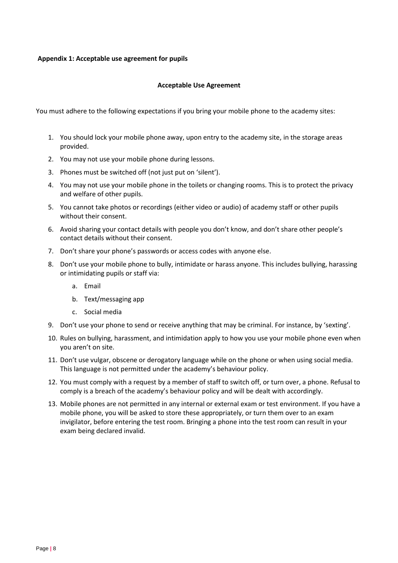#### **Appendix 1: Acceptable use agreement for pupils**

#### **Acceptable Use Agreement**

You must adhere to the following expectations if you bring your mobile phone to the academy sites:

- 1. You should lock your mobile phone away, upon entry to the academy site, in the storage areas provided.
- 2. You may not use your mobile phone during lessons.
- 3. Phones must be switched off (not just put on 'silent').
- 4. You may not use your mobile phone in the toilets or changing rooms. This is to protect the privacy and welfare of other pupils.
- 5. You cannot take photos or recordings (either video or audio) of academy staff or other pupils without their consent.
- 6. Avoid sharing your contact details with people you don't know, and don't share other people's contact details without their consent.
- 7. Don't share your phone's passwords or access codes with anyone else.
- 8. Don't use your mobile phone to bully, intimidate or harass anyone. This includes bullying, harassing or intimidating pupils or staff via:
	- a. Email
	- b. Text/messaging app
	- c. Social media
- 9. Don't use your phone to send or receive anything that may be criminal. For instance, by 'sexting'.
- 10. Rules on bullying, harassment, and intimidation apply to how you use your mobile phone even when you aren't on site.
- 11. Don't use vulgar, obscene or derogatory language while on the phone or when using social media. This language is not permitted under the academy's behaviour policy.
- 12. You must comply with a request by a member of staff to switch off, or turn over, a phone. Refusal to comply is a breach of the academy's behaviour policy and will be dealt with accordingly.
- 13. Mobile phones are not permitted in any internal or external exam or test environment. If you have a mobile phone, you will be asked to store these appropriately, or turn them over to an exam invigilator, before entering the test room. Bringing a phone into the test room can result in your exam being declared invalid.